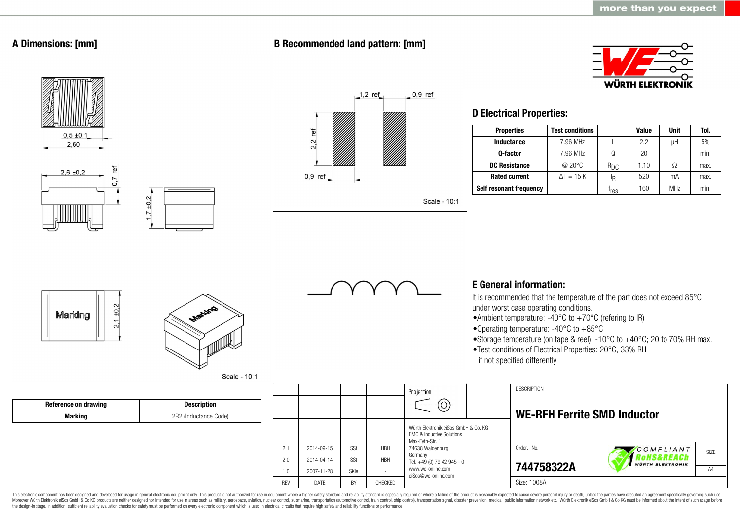

This electronic component has been designed and developed for usage in general electronic equipment only. This product is not authorized for use in equipment where a higher safety standard and reliability standard is espec Moreover Würth Elektronik eiSos GmbH & Co KG products are neither designed nor intended for use in areas such as military, aerospace, aviation, nuclear control, submarine, transportation (automotive control, ship control), the design-in stage. In addition, sufficient reliability evaluation checks for safety must be performed on every electronic component which is used in electrical circuits that require high safety and reliability functions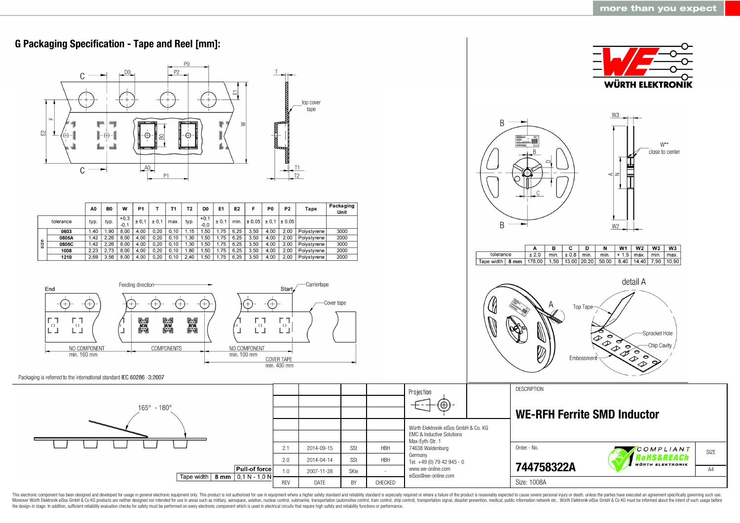

This electronic component has been designed and developed for usage in general electronic equipment only. This product is not authorized for use in equipment where a higher safety standard and reliability standard as espec Moreover Würth Elektronik eiSos GmbH & Co KG products are neither designed nor intended for use in areas such as military, aerospace, aviation, nuclear control, submarine, transportation (automotive control, ship control), the design-in stage. In addition, sufficient reliability evaluation checks for safety must be performed on every electronic component which is used in electrical circuits that require high safety and reliability functions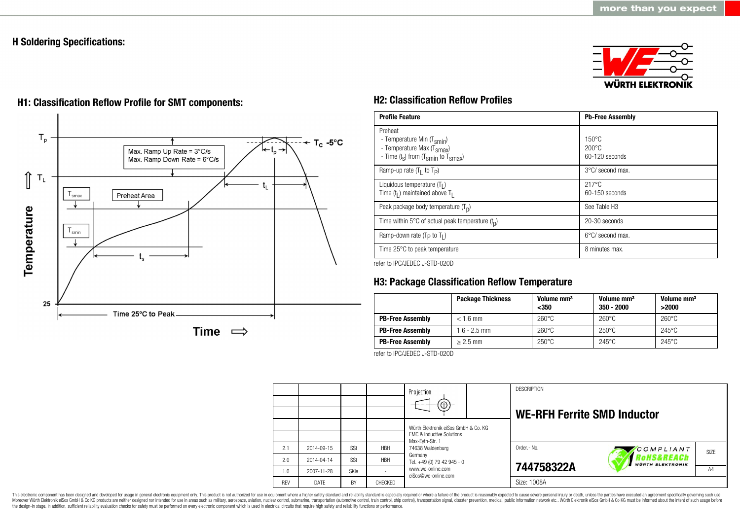## **H Soldering Specifications:**







# **H1: Classification Reflow Profile for SMT components: H2: Classification Reflow Profiles**

| <b>Profile Feature</b>                                                                                                                        | <b>Pb-Free Assembly</b>                               |
|-----------------------------------------------------------------------------------------------------------------------------------------------|-------------------------------------------------------|
| Preheat<br>- Temperature Min (T <sub>smin</sub> )<br>- Temperature Max (T <sub>Smax</sub> )<br>- Time $(t_s)$ from $(T_{smin}$ to $T_{smax})$ | $150^{\circ}$ C<br>$200\degree C$<br>$60-120$ seconds |
| Ramp-up rate $(T_1$ to $T_P$ )                                                                                                                | 3°C/ second max.                                      |
| Liquidous temperature $(T1)$<br>Time $(tl)$ maintained above T <sub>1</sub>                                                                   | $217^{\circ}$ C<br>60-150 seconds                     |
| Peak package body temperature $(Tp)$                                                                                                          | See Table H <sub>3</sub>                              |
| Time within 5°C of actual peak temperature $(t_n)$                                                                                            | 20-30 seconds                                         |
| Ramp-down rate $(T_P$ to $T_I$ )                                                                                                              | $6^{\circ}$ C/ second max.                            |
| Time 25°C to peak temperature                                                                                                                 | 8 minutes max.                                        |

refer to IPC/JEDEC J-STD-020D

# **H3: Package Classification Reflow Temperature**

|                         | <b>Package Thickness</b> | Volume mm <sup>3</sup><br>$350$ | Volume mm <sup>3</sup><br>$350 - 2000$ | Volume mm <sup>3</sup><br>>2000 |
|-------------------------|--------------------------|---------------------------------|----------------------------------------|---------------------------------|
| <b>PB-Free Assembly</b> | $< 1.6$ mm               | $260^{\circ}$ C                 | $260^{\circ}$ C                        | $260^{\circ}$ C                 |
| <b>PB-Free Assembly</b> | $1.6 - 2.5$ mm           | $260^{\circ}$ C                 | $250^{\circ}$ C                        | $245^{\circ}$ C                 |
| <b>PB-Free Assembly</b> | $> 2.5$ mm               | $250^{\circ}$ C                 | $245^{\circ}$ C                        | $245^{\circ}$ C                 |

refer to IPC/JEDEC J-STD-020D

|            |            |           |                | Projection<br>$\Theta$ )                                                     |  | <b>DESCRIPTION</b><br><b>WE-RFH Ferrite SMD Inductor</b> |                                       |      |
|------------|------------|-----------|----------------|------------------------------------------------------------------------------|--|----------------------------------------------------------|---------------------------------------|------|
|            |            |           |                | Würth Elektronik eiSos GmbH & Co. KG<br><b>FMC &amp; Inductive Solutions</b> |  |                                                          |                                       |      |
| 2.1        | 2014-09-15 | SSt       | <b>HBH</b>     | Max-Eyth-Str. 1<br>74638 Waldenburg                                          |  | Order .- No.                                             | COMPLIANT                             | SIZE |
| 2.0        | 2014-04-14 | SSt       | <b>HBH</b>     | Germany<br>Tel. +49 (0) 79 42 945 - 0                                        |  |                                                          | RoHS&REACh<br><b>WÜRTH ELEKTRONIK</b> |      |
| 1.0        | 2007-11-28 | SKIe      |                | www.we-online.com<br>eiSos@we-online.com                                     |  | 744758322A                                               |                                       | A4   |
| <b>RFV</b> | DATE       | <b>BY</b> | <b>CHECKED</b> |                                                                              |  | Size: 1008A                                              |                                       |      |

This electronic component has been designed and developed for usage in general electronic equipment only. This product is not authorized for use in equipment where a higher safety standard and reliability standard is espec Moreover Würth Elektronik eiSos GmbH & Co KG products are neither designed nor intended for use in areas such as military, aerospace, aviation, nuclear control, submarine, transportation (automotive control), stain control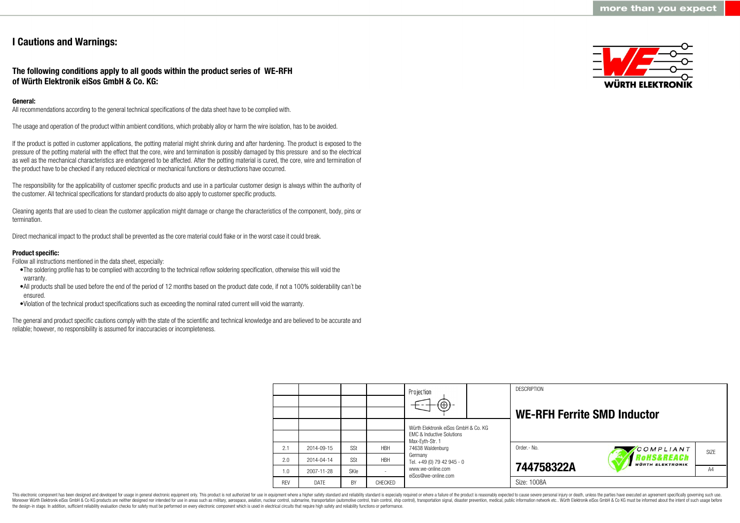## **I Cautions and Warnings:**

### **The following conditions apply to all goods within the product series of WE-RFH of Würth Elektronik eiSos GmbH & Co. KG:**

#### **General:**

All recommendations according to the general technical specifications of the data sheet have to be complied with.

The usage and operation of the product within ambient conditions, which probably alloy or harm the wire isolation, has to be avoided.

If the product is potted in customer applications, the potting material might shrink during and after hardening. The product is exposed to the pressure of the potting material with the effect that the core, wire and termination is possibly damaged by this pressure and so the electrical as well as the mechanical characteristics are endangered to be affected. After the potting material is cured, the core, wire and termination of the product have to be checked if any reduced electrical or mechanical functions or destructions have occurred.

The responsibility for the applicability of customer specific products and use in a particular customer design is always within the authority of the customer. All technical specifications for standard products do also apply to customer specific products.

Cleaning agents that are used to clean the customer application might damage or change the characteristics of the component, body, pins or termination.

Direct mechanical impact to the product shall be prevented as the core material could flake or in the worst case it could break.

#### **Product specific:**

Follow all instructions mentioned in the data sheet, especially:

- •The soldering profile has to be complied with according to the technical reflow soldering specification, otherwise this will void the warranty.
- •All products shall be used before the end of the period of 12 months based on the product date code, if not a 100% solderability can´t be ensured.
- •Violation of the technical product specifications such as exceeding the nominal rated current will void the warranty.

The general and product specific cautions comply with the state of the scientific and technical knowledge and are believed to be accurate and reliable; however, no responsibility is assumed for inaccuracies or incompleteness.



|            |            |             |            | Projection                                                                   |  | <b>DESCRIPTION</b>                 |                                                  |                   |
|------------|------------|-------------|------------|------------------------------------------------------------------------------|--|------------------------------------|--------------------------------------------------|-------------------|
|            |            |             |            | $\textcircled{\scriptsize\textcircled{\scriptsize\textcirc}}$                |  | <b>WE-RFH Ferrite SMD Inductor</b> |                                                  |                   |
|            |            |             |            | Würth Elektronik eiSos GmbH & Co. KG<br><b>EMC &amp; Inductive Solutions</b> |  |                                    |                                                  |                   |
| 2.1        | 2014-09-15 | SSt         | <b>HBH</b> | Max-Evth-Str. 1<br>74638 Waldenburg                                          |  | Order.- No.                        | COMPLIANT                                        | SI <sub>7</sub> F |
| 2.0        | 2014-04-14 | SSt         | <b>HBH</b> | Germany<br>Tel. +49 (0) 79 42 945 - 0                                        |  |                                    | <b>'oHS&amp;REACh</b><br><b>WÜRTH ELEKTRONIK</b> |                   |
| 1.0        | 2007-11-28 | <b>SKIe</b> |            | www.we-online.com<br>eiSos@we-online.com                                     |  | 744758322A                         |                                                  | A4                |
| <b>REV</b> | DATE       | BY          | CHECKED    |                                                                              |  | Size: 1008A                        |                                                  |                   |

This electronic component has been designed and developed for usage in general electronic equipment only. This product is not authorized for use in equipment where a higher safety standard and reliability standard is espec Moreover Würth Elektronik eiSos GmbH & Co KG products are neither designed nor intended for use in areas such as military, aerospace, aviation, nuclear control, submarine, transportation (automotive control), tain control) the design-in stage. In addition, sufficient reliability evaluation checks for safety must be performed on every electronic component which is used in electrical circuits that require high safety and reliability functions